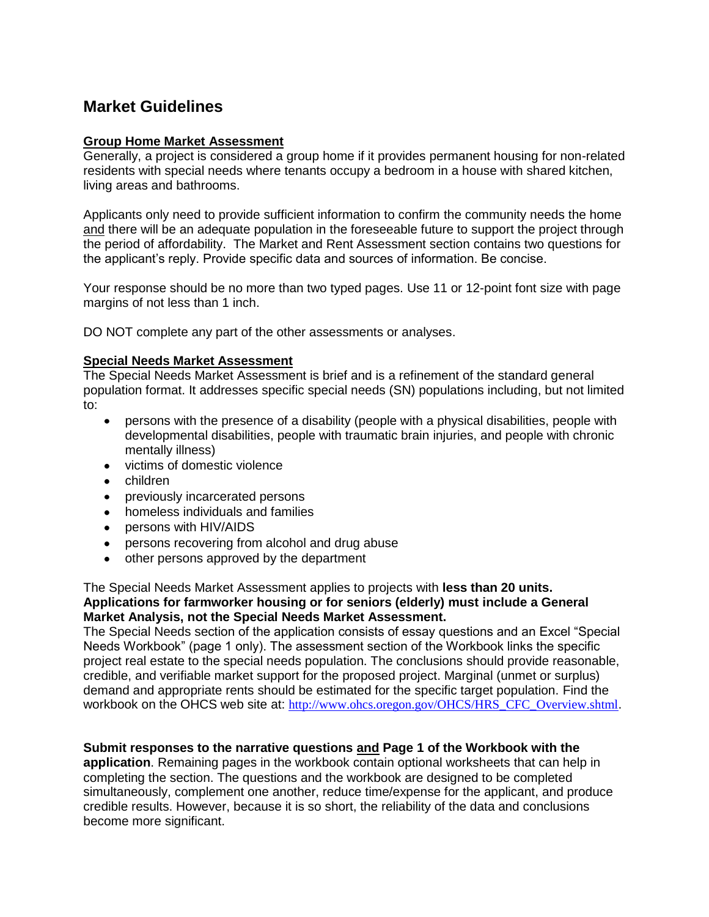# **Market Guidelines**

#### **Group Home Market Assessment**

Generally, a project is considered a group home if it provides permanent housing for non-related residents with special needs where tenants occupy a bedroom in a house with shared kitchen, living areas and bathrooms.

Applicants only need to provide sufficient information to confirm the community needs the home and there will be an adequate population in the foreseeable future to support the project through the period of affordability. The Market and Rent Assessment section contains two questions for the applicant's reply. Provide specific data and sources of information. Be concise.

Your response should be no more than two typed pages. Use 11 or 12-point font size with page margins of not less than 1 inch.

DO NOT complete any part of the other assessments or analyses.

#### **Special Needs Market Assessment**

The Special Needs Market Assessment is brief and is a refinement of the standard general population format. It addresses specific special needs (SN) populations including, but not limited to:

- persons with the presence of a disability (people with a physical disabilities, people with developmental disabilities, people with traumatic brain injuries, and people with chronic mentally illness)
- victims of domestic violence
- children
- previously incarcerated persons
- homeless individuals and families
- persons with HIV/AIDS
- persons recovering from alcohol and drug abuse
- other persons approved by the department

#### The Special Needs Market Assessment applies to projects with **less than 20 units. Applications for farmworker housing or for seniors (elderly) must include a General Market Analysis, not the Special Needs Market Assessment.**

The Special Needs section of the application consists of essay questions and an Excel "Special Needs Workbook" (page 1 only). The assessment section of the Workbook links the specific project real estate to the special needs population. The conclusions should provide reasonable, credible, and verifiable market support for the proposed project. Marginal (unmet or surplus) demand and appropriate rents should be estimated for the specific target population. Find the workbook on the OHCS web site at: [http://www.ohcs.oregon.gov/OHCS/HRS\\_CFC\\_Overview.shtml](http://www.ohcs.oregon.gov/OHCS/HRS_CFC_Overview.shtml).

### **Submit responses to the narrative questions and Page 1 of the Workbook with the**

**application**. Remaining pages in the workbook contain optional worksheets that can help in completing the section. The questions and the workbook are designed to be completed simultaneously, complement one another, reduce time/expense for the applicant, and produce credible results. However, because it is so short, the reliability of the data and conclusions become more significant.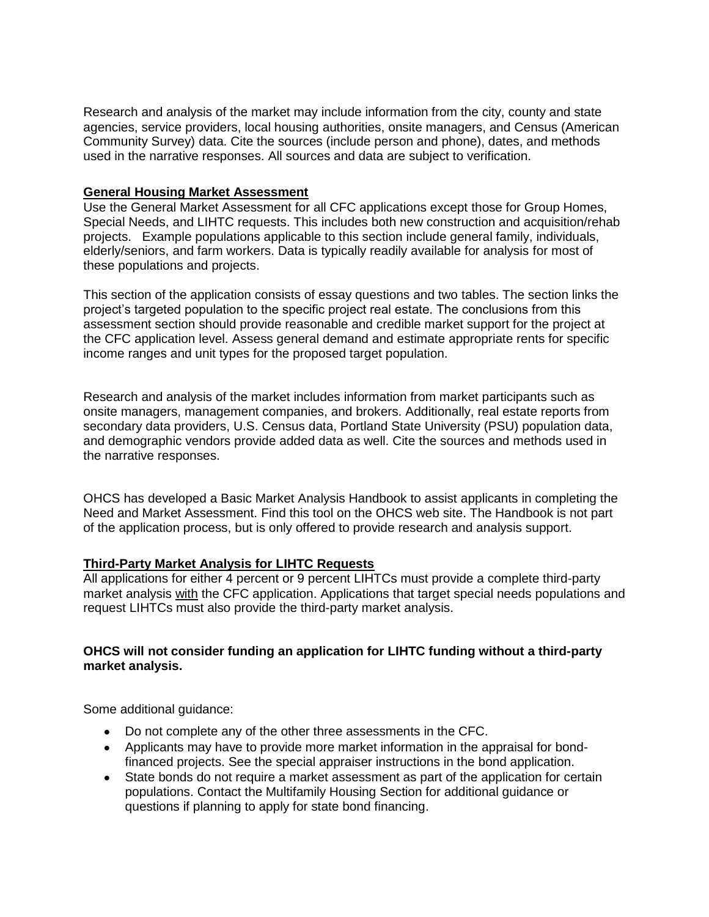Research and analysis of the market may include information from the city, county and state agencies, service providers, local housing authorities, onsite managers, and Census (American Community Survey) data. Cite the sources (include person and phone), dates, and methods used in the narrative responses. All sources and data are subject to verification.

#### **General Housing Market Assessment**

Use the General Market Assessment for all CFC applications except those for Group Homes, Special Needs, and LIHTC requests. This includes both new construction and acquisition/rehab projects. Example populations applicable to this section include general family, individuals, elderly/seniors, and farm workers. Data is typically readily available for analysis for most of these populations and projects.

This section of the application consists of essay questions and two tables. The section links the project's targeted population to the specific project real estate. The conclusions from this assessment section should provide reasonable and credible market support for the project at the CFC application level. Assess general demand and estimate appropriate rents for specific income ranges and unit types for the proposed target population.

Research and analysis of the market includes information from market participants such as onsite managers, management companies, and brokers. Additionally, real estate reports from secondary data providers, U.S. Census data, Portland State University (PSU) population data, and demographic vendors provide added data as well. Cite the sources and methods used in the narrative responses.

OHCS has developed a Basic Market Analysis Handbook to assist applicants in completing the Need and Market Assessment. Find this tool on the OHCS web site. The Handbook is not part of the application process, but is only offered to provide research and analysis support.

#### **Third-Party Market Analysis for LIHTC Requests**

All applications for either 4 percent or 9 percent LIHTCs must provide a complete third-party market analysis with the CFC application. Applications that target special needs populations and request LIHTCs must also provide the third-party market analysis.

### **OHCS will not consider funding an application for LIHTC funding without a third-party market analysis.**

Some additional guidance:

- Do not complete any of the other three assessments in the CFC.
- Applicants may have to provide more market information in the appraisal for bondfinanced projects. See the special appraiser instructions in the bond application.
- State bonds do not require a market assessment as part of the application for certain populations. Contact the Multifamily Housing Section for additional guidance or questions if planning to apply for state bond financing.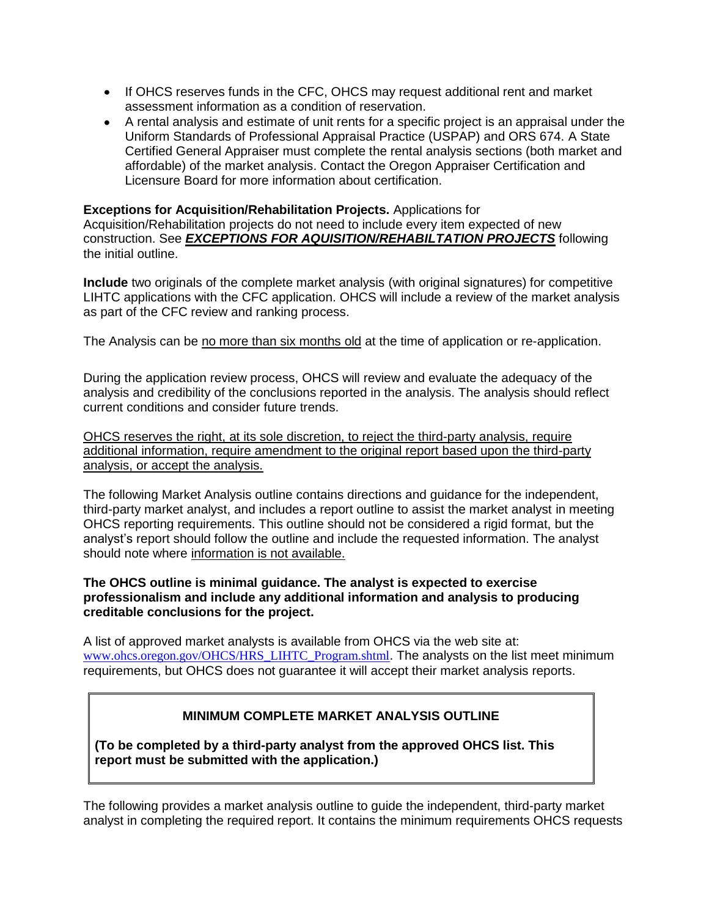- If OHCS reserves funds in the CFC, OHCS may request additional rent and market assessment information as a condition of reservation.
- A rental analysis and estimate of unit rents for a specific project is an appraisal under the Uniform Standards of Professional Appraisal Practice (USPAP) and ORS 674. A State Certified General Appraiser must complete the rental analysis sections (both market and affordable) of the market analysis. Contact the Oregon Appraiser Certification and Licensure Board for more information about certification.

### **Exceptions for Acquisition/Rehabilitation Projects.** Applications for

Acquisition/Rehabilitation projects do not need to include every item expected of new construction. See *EXCEPTIONS FOR AQUISITION/REHABILTATION PROJECTS* following the initial outline.

**Include** two originals of the complete market analysis (with original signatures) for competitive LIHTC applications with the CFC application. OHCS will include a review of the market analysis as part of the CFC review and ranking process.

The Analysis can be no more than six months old at the time of application or re-application.

During the application review process, OHCS will review and evaluate the adequacy of the analysis and credibility of the conclusions reported in the analysis. The analysis should reflect current conditions and consider future trends.

OHCS reserves the right, at its sole discretion, to reject the third-party analysis, require additional information, require amendment to the original report based upon the third-party analysis, or accept the analysis.

The following Market Analysis outline contains directions and guidance for the independent, third-party market analyst, and includes a report outline to assist the market analyst in meeting OHCS reporting requirements. This outline should not be considered a rigid format, but the analyst's report should follow the outline and include the requested information. The analyst should note where information is not available.

#### **The OHCS outline is minimal guidance. The analyst is expected to exercise professionalism and include any additional information and analysis to producing creditable conclusions for the project.**

A list of approved market analysts is available from OHCS via the web site at: [www.ohcs.oregon.gov/OHCS/HRS\\_LIHTC\\_Program.shtml](http://www.ohcs.oregon.gov/OHCS/HRS_LIHTC_Program.shtml). The analysts on the list meet minimum requirements, but OHCS does not guarantee it will accept their market analysis reports.

# **MINIMUM COMPLETE MARKET ANALYSIS OUTLINE**

**(To be completed by a third-party analyst from the approved OHCS list. This report must be submitted with the application.)**

The following provides a market analysis outline to guide the independent, third-party market analyst in completing the required report. It contains the minimum requirements OHCS requests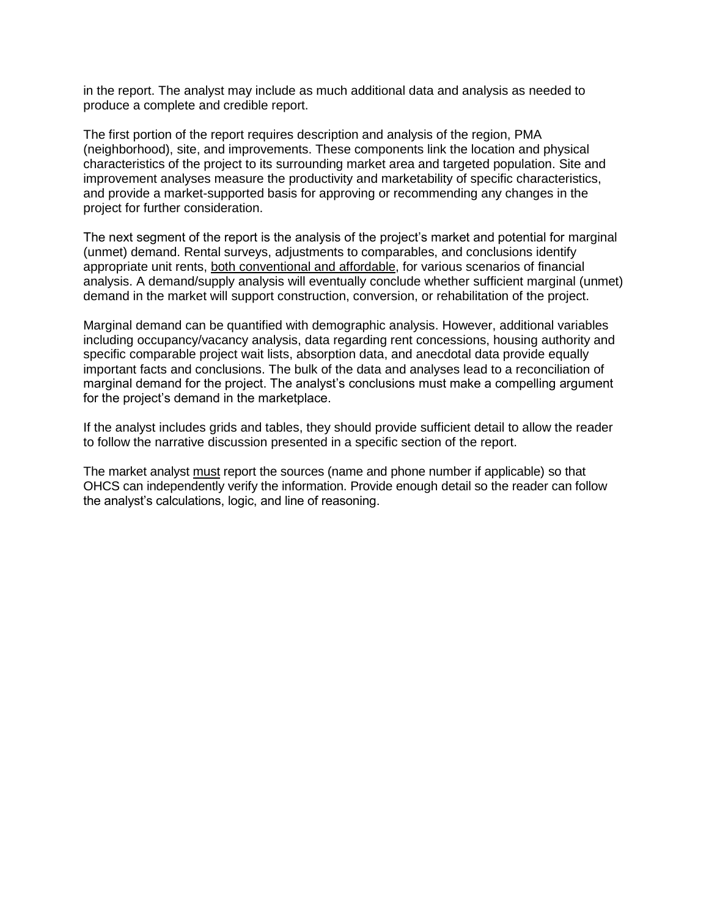in the report. The analyst may include as much additional data and analysis as needed to produce a complete and credible report.

The first portion of the report requires description and analysis of the region, PMA (neighborhood), site, and improvements. These components link the location and physical characteristics of the project to its surrounding market area and targeted population. Site and improvement analyses measure the productivity and marketability of specific characteristics, and provide a market-supported basis for approving or recommending any changes in the project for further consideration.

The next segment of the report is the analysis of the project's market and potential for marginal (unmet) demand. Rental surveys, adjustments to comparables, and conclusions identify appropriate unit rents, both conventional and affordable, for various scenarios of financial analysis. A demand/supply analysis will eventually conclude whether sufficient marginal (unmet) demand in the market will support construction, conversion, or rehabilitation of the project.

Marginal demand can be quantified with demographic analysis. However, additional variables including occupancy/vacancy analysis, data regarding rent concessions, housing authority and specific comparable project wait lists, absorption data, and anecdotal data provide equally important facts and conclusions. The bulk of the data and analyses lead to a reconciliation of marginal demand for the project. The analyst's conclusions must make a compelling argument for the project's demand in the marketplace.

If the analyst includes grids and tables, they should provide sufficient detail to allow the reader to follow the narrative discussion presented in a specific section of the report.

The market analyst must report the sources (name and phone number if applicable) so that OHCS can independently verify the information. Provide enough detail so the reader can follow the analyst's calculations, logic, and line of reasoning.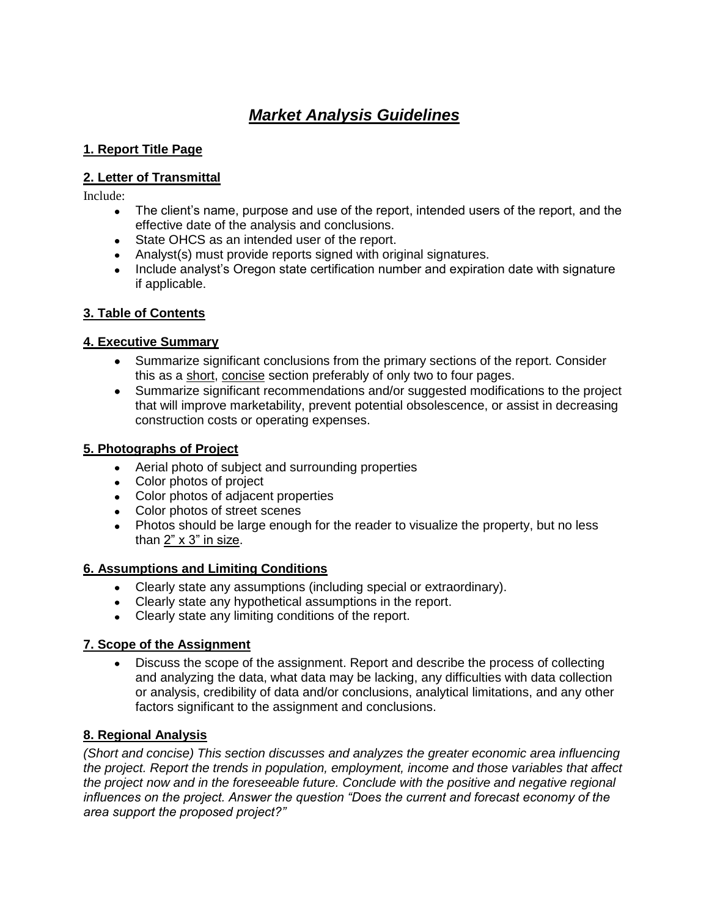# *Market Analysis Guidelines*

### **1. Report Title Page**

# **2. Letter of Transmittal**

Include:

- The client's name, purpose and use of the report, intended users of the report, and the effective date of the analysis and conclusions.
- State OHCS as an intended user of the report.
- Analyst(s) must provide reports signed with original signatures.
- Include analyst's Oregon state certification number and expiration date with signature if applicable.

# **3. Table of Contents**

# **4. Executive Summary**

- Summarize significant conclusions from the primary sections of the report. Consider this as a short, concise section preferably of only two to four pages.
- Summarize significant recommendations and/or suggested modifications to the project that will improve marketability, prevent potential obsolescence, or assist in decreasing construction costs or operating expenses.

# **5. Photographs of Project**

- Aerial photo of subject and surrounding properties
- Color photos of project
- Color photos of adjacent properties
- Color photos of street scenes
- Photos should be large enough for the reader to visualize the property, but no less than 2" x 3" in size.

# **6. Assumptions and Limiting Conditions**

- Clearly state any assumptions (including special or extraordinary).
- Clearly state any hypothetical assumptions in the report.
- Clearly state any limiting conditions of the report.

# **7. Scope of the Assignment**

 $\bullet$ Discuss the scope of the assignment. Report and describe the process of collecting and analyzing the data, what data may be lacking, any difficulties with data collection or analysis, credibility of data and/or conclusions, analytical limitations, and any other factors significant to the assignment and conclusions.

# **8. Regional Analysis**

*(Short and concise) This section discusses and analyzes the greater economic area influencing the project. Report the trends in population, employment, income and those variables that affect the project now and in the foreseeable future. Conclude with the positive and negative regional influences on the project. Answer the question "Does the current and forecast economy of the area support the proposed project?"*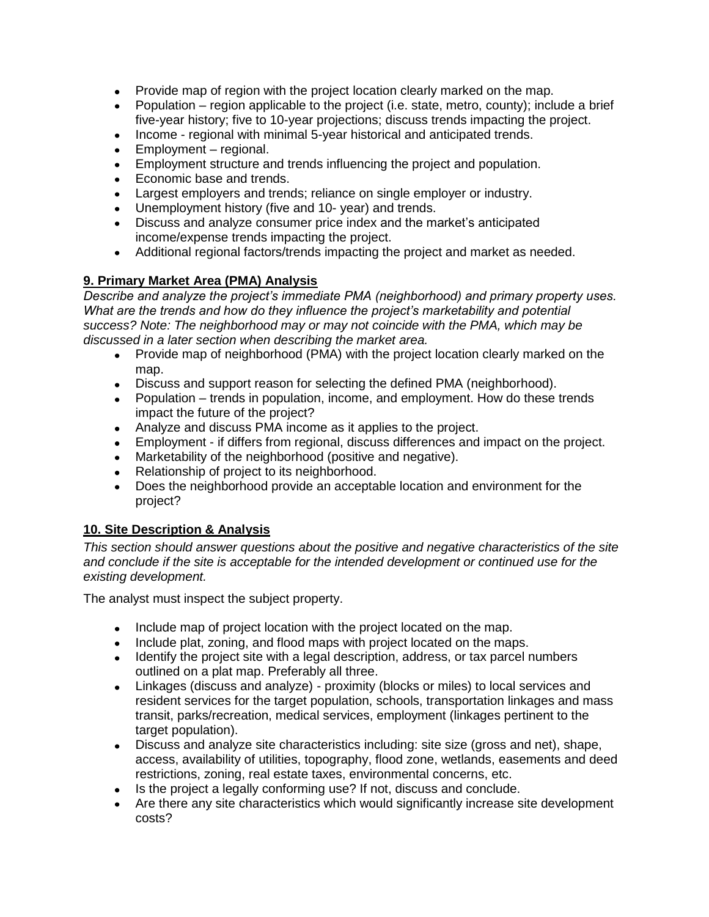- Provide map of region with the project location clearly marked on the map.
- Population region applicable to the project (i.e. state, metro, county); include a brief five-year history; five to 10-year projections; discuss trends impacting the project.
- Income regional with minimal 5-year historical and anticipated trends.
- Employment regional.
- Employment structure and trends influencing the project and population.
- Economic base and trends.
- Largest employers and trends; reliance on single employer or industry.
- Unemployment history (five and 10- year) and trends.
- Discuss and analyze consumer price index and the market's anticipated income/expense trends impacting the project.
- Additional regional factors/trends impacting the project and market as needed.

# **9. Primary Market Area (PMA) Analysis**

*Describe and analyze the project's immediate PMA (neighborhood) and primary property uses. What are the trends and how do they influence the project's marketability and potential success? Note: The neighborhood may or may not coincide with the PMA, which may be discussed in a later section when describing the market area.*

- Provide map of neighborhood (PMA) with the project location clearly marked on the map.
- Discuss and support reason for selecting the defined PMA (neighborhood).  $\bullet$
- Population trends in population, income, and employment. How do these trends impact the future of the project?
- Analyze and discuss PMA income as it applies to the project.
- Employment if differs from regional, discuss differences and impact on the project.
- $\bullet$ Marketability of the neighborhood (positive and negative).
- Relationship of project to its neighborhood.
- Does the neighborhood provide an acceptable location and environment for the project?

# **10. Site Description & Analysis**

*This section should answer questions about the positive and negative characteristics of the site and conclude if the site is acceptable for the intended development or continued use for the existing development.* 

The analyst must inspect the subject property.

- Include map of project location with the project located on the map.
- Include plat, zoning, and flood maps with project located on the maps.
- Identify the project site with a legal description, address, or tax parcel numbers outlined on a plat map. Preferably all three.
- Linkages (discuss and analyze) proximity (blocks or miles) to local services and  $\bullet$ resident services for the target population, schools, transportation linkages and mass transit, parks/recreation, medical services, employment (linkages pertinent to the target population).
- Discuss and analyze site characteristics including: site size (gross and net), shape, access, availability of utilities, topography, flood zone, wetlands, easements and deed restrictions, zoning, real estate taxes, environmental concerns, etc.
- Is the project a legally conforming use? If not, discuss and conclude.
- Are there any site characteristics which would significantly increase site development costs?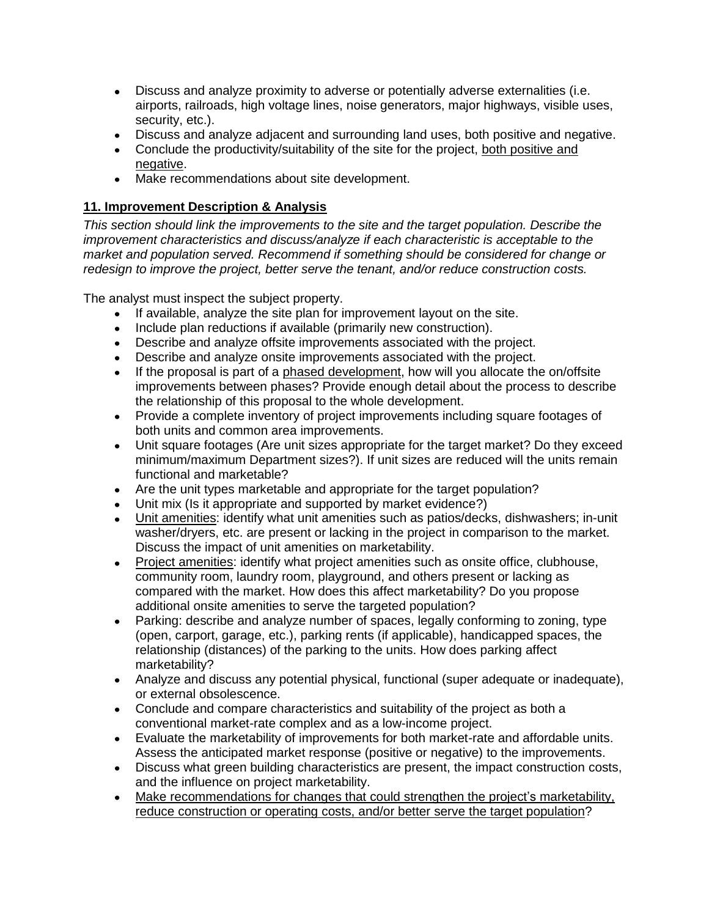- Discuss and analyze proximity to adverse or potentially adverse externalities (i.e. airports, railroads, high voltage lines, noise generators, major highways, visible uses, security, etc.).
- Discuss and analyze adjacent and surrounding land uses, both positive and negative.
- Conclude the productivity/suitability of the site for the project, both positive and negative.
- Make recommendations about site development.

# **11. Improvement Description & Analysis**

*This section should link the improvements to the site and the target population. Describe the improvement characteristics and discuss/analyze if each characteristic is acceptable to the market and population served. Recommend if something should be considered for change or redesign to improve the project, better serve the tenant, and/or reduce construction costs.*

The analyst must inspect the subject property.

- If available, analyze the site plan for improvement layout on the site.
- Include plan reductions if available (primarily new construction).
- Describe and analyze offsite improvements associated with the project.
- Describe and analyze onsite improvements associated with the project.
- If the proposal is part of a phased development, how will you allocate the on/offsite  $\bullet$ improvements between phases? Provide enough detail about the process to describe the relationship of this proposal to the whole development.
- Provide a complete inventory of project improvements including square footages of both units and common area improvements.
- Unit square footages (Are unit sizes appropriate for the target market? Do they exceed  $\bullet$ minimum/maximum Department sizes?). If unit sizes are reduced will the units remain functional and marketable?
- Are the unit types marketable and appropriate for the target population?
- Unit mix (Is it appropriate and supported by market evidence?)
- Unit amenities: identify what unit amenities such as patios/decks, dishwashers; in-unit washer/dryers, etc. are present or lacking in the project in comparison to the market. Discuss the impact of unit amenities on marketability.
- Project amenities: identify what project amenities such as onsite office, clubhouse, community room, laundry room, playground, and others present or lacking as compared with the market. How does this affect marketability? Do you propose additional onsite amenities to serve the targeted population?
- Parking: describe and analyze number of spaces, legally conforming to zoning, type (open, carport, garage, etc.), parking rents (if applicable), handicapped spaces, the relationship (distances) of the parking to the units. How does parking affect marketability?
- Analyze and discuss any potential physical, functional (super adequate or inadequate), or external obsolescence.
- Conclude and compare characteristics and suitability of the project as both a conventional market-rate complex and as a low-income project.
- Evaluate the marketability of improvements for both market-rate and affordable units. Assess the anticipated market response (positive or negative) to the improvements.
- Discuss what green building characteristics are present, the impact construction costs, and the influence on project marketability.
- Make recommendations for changes that could strengthen the project's marketability, reduce construction or operating costs, and/or better serve the target population?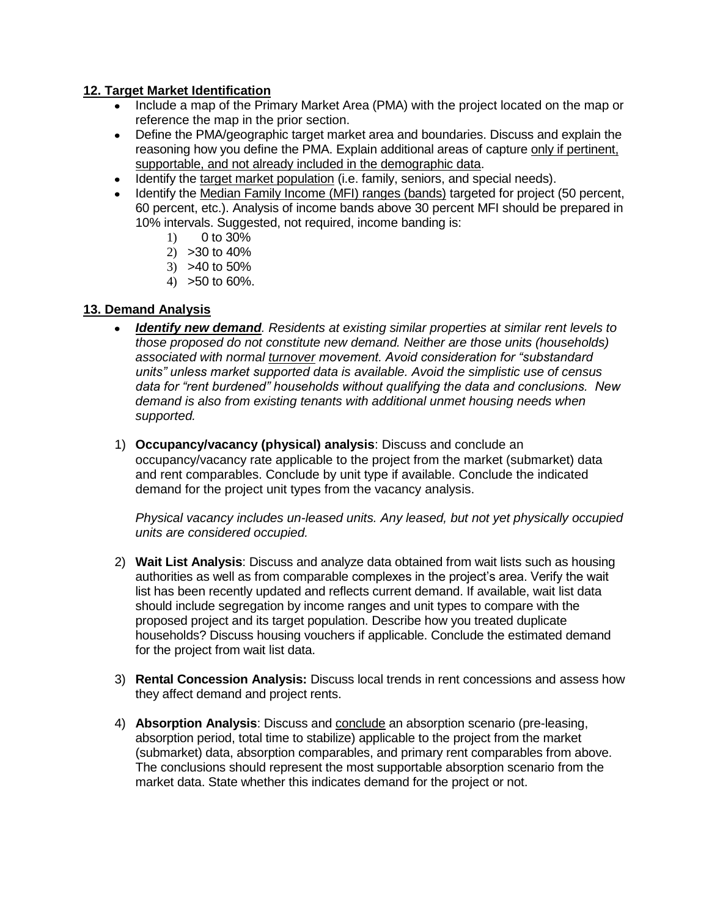### **12. Target Market Identification**

- Include a map of the Primary Market Area (PMA) with the project located on the map or reference the map in the prior section.
- Define the PMA/geographic target market area and boundaries. Discuss and explain the  $\bullet$ reasoning how you define the PMA. Explain additional areas of capture only if pertinent, supportable, and not already included in the demographic data.
- Identify the target market population (i.e. family, seniors, and special needs).
- Identify the Median Family Income (MFI) ranges (bands) targeted for project (50 percent, 60 percent, etc.). Analysis of income bands above 30 percent MFI should be prepared in 10% intervals. Suggested, not required, income banding is:
	- 1) 0 to 30%
	- 2) >30 to 40%
	- 3) >40 to 50%
	- 4) >50 to 60%.

### **13. Demand Analysis**

- *Identify new demand. Residents at existing similar properties at similar rent levels to those proposed do not constitute new demand. Neither are those units (households) associated with normal turnover movement. Avoid consideration for "substandard units" unless market supported data is available. Avoid the simplistic use of census data for "rent burdened" households without qualifying the data and conclusions. New demand is also from existing tenants with additional unmet housing needs when supported.*
- 1) **Occupancy/vacancy (physical) analysis**: Discuss and conclude an occupancy/vacancy rate applicable to the project from the market (submarket) data and rent comparables. Conclude by unit type if available. Conclude the indicated demand for the project unit types from the vacancy analysis.

*Physical vacancy includes un-leased units. Any leased, but not yet physically occupied units are considered occupied.*

- 2) **Wait List Analysis**: Discuss and analyze data obtained from wait lists such as housing authorities as well as from comparable complexes in the project's area. Verify the wait list has been recently updated and reflects current demand. If available, wait list data should include segregation by income ranges and unit types to compare with the proposed project and its target population. Describe how you treated duplicate households? Discuss housing vouchers if applicable. Conclude the estimated demand for the project from wait list data.
- 3) **Rental Concession Analysis:** Discuss local trends in rent concessions and assess how they affect demand and project rents.
- 4) **Absorption Analysis**: Discuss and conclude an absorption scenario (pre-leasing, absorption period, total time to stabilize) applicable to the project from the market (submarket) data, absorption comparables, and primary rent comparables from above. The conclusions should represent the most supportable absorption scenario from the market data. State whether this indicates demand for the project or not.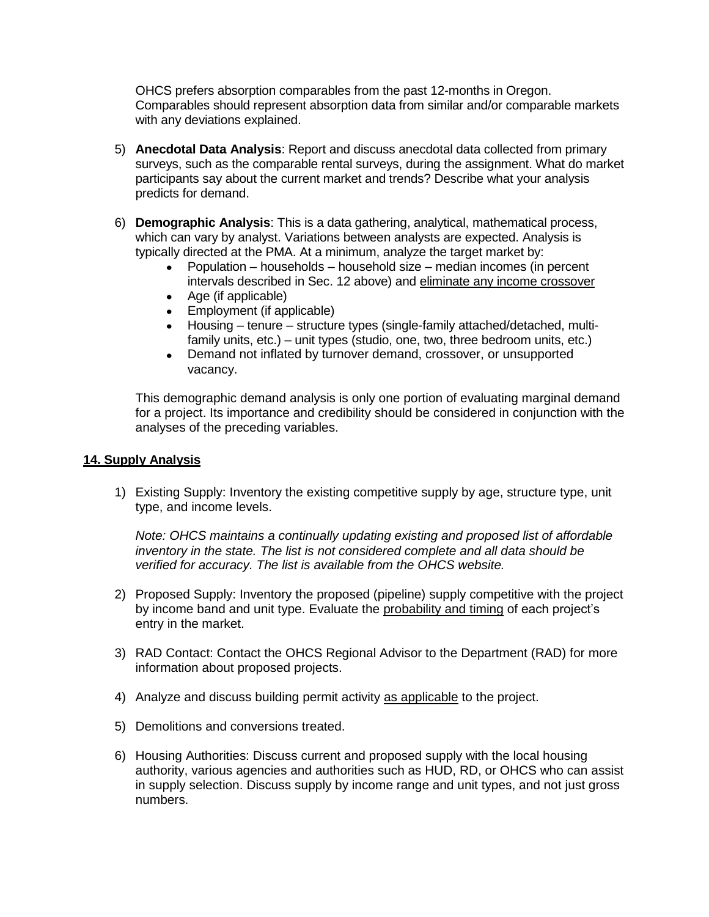OHCS prefers absorption comparables from the past 12-months in Oregon. Comparables should represent absorption data from similar and/or comparable markets with any deviations explained.

- 5) **Anecdotal Data Analysis**: Report and discuss anecdotal data collected from primary surveys, such as the comparable rental surveys, during the assignment. What do market participants say about the current market and trends? Describe what your analysis predicts for demand.
- 6) **Demographic Analysis**: This is a data gathering, analytical, mathematical process, which can vary by analyst. Variations between analysts are expected. Analysis is typically directed at the PMA. At a minimum, analyze the target market by:
	- Population households household size median incomes (in percent intervals described in Sec. 12 above) and eliminate any income crossover
	- Age (if applicable)
	- Employment (if applicable)
	- Housing tenure structure types (single-family attached/detached, multifamily units, etc.) – unit types (studio, one, two, three bedroom units, etc.)
	- Demand not inflated by turnover demand, crossover, or unsupported  $\bullet$ vacancy.

This demographic demand analysis is only one portion of evaluating marginal demand for a project. Its importance and credibility should be considered in conjunction with the analyses of the preceding variables.

#### **14. Supply Analysis**

1) Existing Supply: Inventory the existing competitive supply by age, structure type, unit type, and income levels.

*Note: OHCS maintains a continually updating existing and proposed list of affordable inventory in the state. The list is not considered complete and all data should be verified for accuracy. The list is available from the OHCS website.* 

- 2) Proposed Supply: Inventory the proposed (pipeline) supply competitive with the project by income band and unit type. Evaluate the probability and timing of each project's entry in the market.
- 3) RAD Contact: Contact the OHCS Regional Advisor to the Department (RAD) for more information about proposed projects.
- 4) Analyze and discuss building permit activity as applicable to the project.
- 5) Demolitions and conversions treated.
- 6) Housing Authorities: Discuss current and proposed supply with the local housing authority, various agencies and authorities such as HUD, RD, or OHCS who can assist in supply selection. Discuss supply by income range and unit types, and not just gross numbers.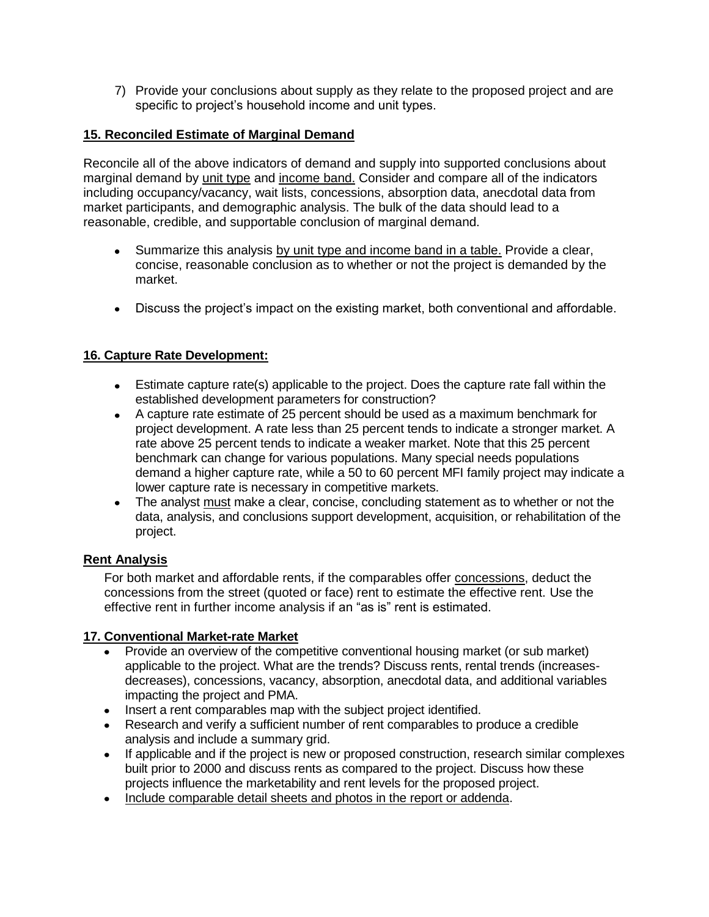7) Provide your conclusions about supply as they relate to the proposed project and are specific to project's household income and unit types.

### **15. Reconciled Estimate of Marginal Demand**

Reconcile all of the above indicators of demand and supply into supported conclusions about marginal demand by unit type and income band. Consider and compare all of the indicators including occupancy/vacancy, wait lists, concessions, absorption data, anecdotal data from market participants, and demographic analysis. The bulk of the data should lead to a reasonable, credible, and supportable conclusion of marginal demand.

- Summarize this analysis by unit type and income band in a table. Provide a clear, concise, reasonable conclusion as to whether or not the project is demanded by the market.
- Discuss the project's impact on the existing market, both conventional and affordable.

### **16. Capture Rate Development:**

- Estimate capture rate(s) applicable to the project. Does the capture rate fall within the established development parameters for construction?
- A capture rate estimate of 25 percent should be used as a maximum benchmark for project development. A rate less than 25 percent tends to indicate a stronger market. A rate above 25 percent tends to indicate a weaker market. Note that this 25 percent benchmark can change for various populations. Many special needs populations demand a higher capture rate, while a 50 to 60 percent MFI family project may indicate a lower capture rate is necessary in competitive markets.
- The analyst must make a clear, concise, concluding statement as to whether or not the data, analysis, and conclusions support development, acquisition, or rehabilitation of the project.

### **Rent Analysis**

For both market and affordable rents, if the comparables offer concessions, deduct the concessions from the street (quoted or face) rent to estimate the effective rent. Use the effective rent in further income analysis if an "as is" rent is estimated.

### **17. Conventional Market-rate Market**

- Provide an overview of the competitive conventional housing market (or sub market) applicable to the project. What are the trends? Discuss rents, rental trends (increasesdecreases), concessions, vacancy, absorption, anecdotal data, and additional variables impacting the project and PMA.
- Insert a rent comparables map with the subject project identified.
- Research and verify a sufficient number of rent comparables to produce a credible analysis and include a summary grid.
- If applicable and if the project is new or proposed construction, research similar complexes  $\bullet$ built prior to 2000 and discuss rents as compared to the project. Discuss how these projects influence the marketability and rent levels for the proposed project.
- Include comparable detail sheets and photos in the report or addenda.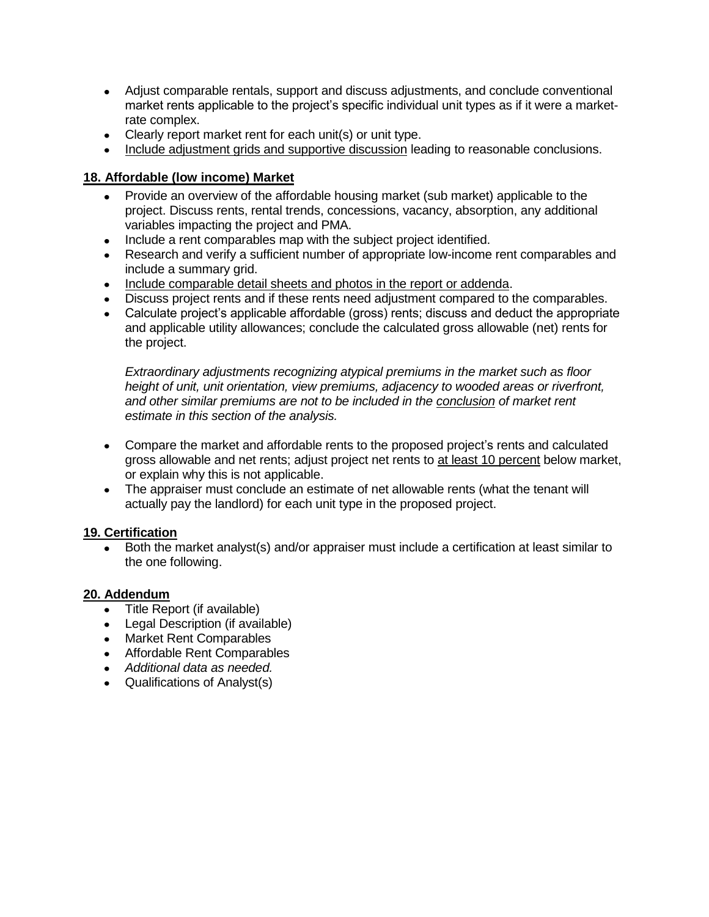- Adjust comparable rentals, support and discuss adjustments, and conclude conventional market rents applicable to the project's specific individual unit types as if it were a marketrate complex.
- Clearly report market rent for each unit(s) or unit type.
- Include adjustment grids and supportive discussion leading to reasonable conclusions.

### **18. Affordable (low income) Market**

- Provide an overview of the affordable housing market (sub market) applicable to the project. Discuss rents, rental trends, concessions, vacancy, absorption, any additional variables impacting the project and PMA.
- Include a rent comparables map with the subject project identified.
- Research and verify a sufficient number of appropriate low-income rent comparables and  $\bullet$ include a summary grid.
- Include comparable detail sheets and photos in the report or addenda.
- Discuss project rents and if these rents need adjustment compared to the comparables.
- Calculate project's applicable affordable (gross) rents; discuss and deduct the appropriate and applicable utility allowances; conclude the calculated gross allowable (net) rents for the project.

*Extraordinary adjustments recognizing atypical premiums in the market such as floor height of unit, unit orientation, view premiums, adjacency to wooded areas or riverfront, and other similar premiums are not to be included in the conclusion of market rent estimate in this section of the analysis.*

- Compare the market and affordable rents to the proposed project's rents and calculated gross allowable and net rents; adjust project net rents to at least 10 percent below market, or explain why this is not applicable.
- The appraiser must conclude an estimate of net allowable rents (what the tenant will  $\bullet$ actually pay the landlord) for each unit type in the proposed project.

### **19. Certification**

Both the market analyst(s) and/or appraiser must include a certification at least similar to the one following.

### **20. Addendum**

- Title Report (if available)
- Legal Description (if available)
- Market Rent Comparables
- Affordable Rent Comparables
- *Additional data as needed.*
- Qualifications of Analyst(s)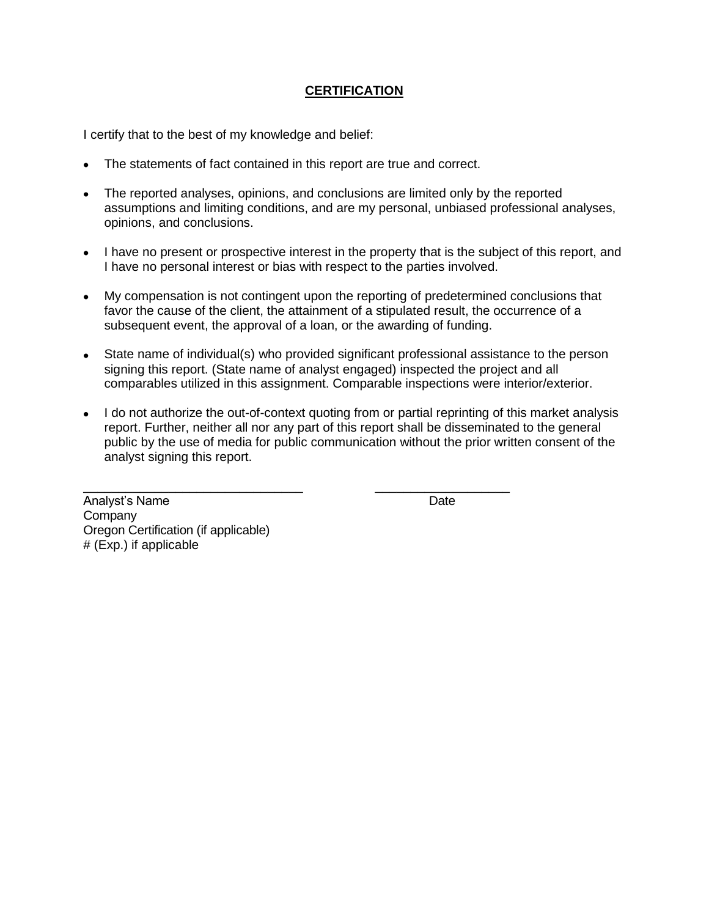### **CERTIFICATION**

I certify that to the best of my knowledge and belief:

- The statements of fact contained in this report are true and correct.
- The reported analyses, opinions, and conclusions are limited only by the reported assumptions and limiting conditions, and are my personal, unbiased professional analyses, opinions, and conclusions.
- I have no present or prospective interest in the property that is the subject of this report, and I have no personal interest or bias with respect to the parties involved.
- My compensation is not contingent upon the reporting of predetermined conclusions that favor the cause of the client, the attainment of a stipulated result, the occurrence of a subsequent event, the approval of a loan, or the awarding of funding.
- State name of individual(s) who provided significant professional assistance to the person signing this report. (State name of analyst engaged) inspected the project and all comparables utilized in this assignment. Comparable inspections were interior/exterior.
- I do not authorize the out-of-context quoting from or partial reprinting of this market analysis report. Further, neither all nor any part of this report shall be disseminated to the general public by the use of media for public communication without the prior written consent of the analyst signing this report.

\_\_\_\_\_\_\_\_\_\_\_\_\_\_\_\_\_\_\_\_\_\_\_\_\_\_\_\_\_\_\_ \_\_\_\_\_\_\_\_\_\_\_\_\_\_\_\_\_\_\_

Analyst's Name Date **Company** Oregon Certification (if applicable) # (Exp.) if applicable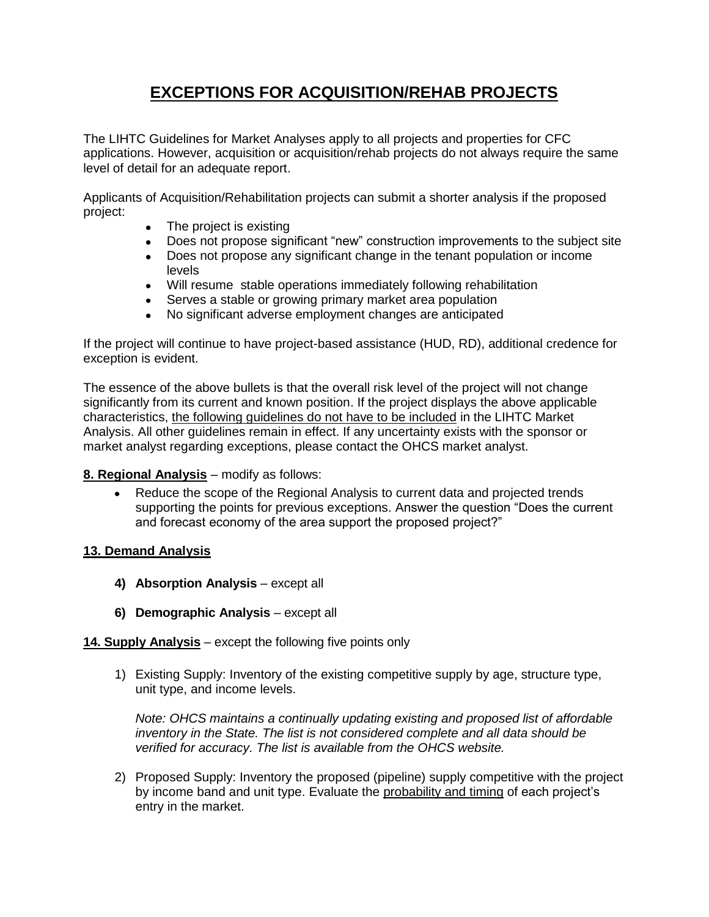# **EXCEPTIONS FOR ACQUISITION/REHAB PROJECTS**

The LIHTC Guidelines for Market Analyses apply to all projects and properties for CFC applications. However, acquisition or acquisition/rehab projects do not always require the same level of detail for an adequate report.

Applicants of Acquisition/Rehabilitation projects can submit a shorter analysis if the proposed project:

- The project is existing
- Does not propose significant "new" construction improvements to the subject site
- Does not propose any significant change in the tenant population or income levels
- Will resume stable operations immediately following rehabilitation
- Serves a stable or growing primary market area population
- No significant adverse employment changes are anticipated

If the project will continue to have project-based assistance (HUD, RD), additional credence for exception is evident.

The essence of the above bullets is that the overall risk level of the project will not change significantly from its current and known position. If the project displays the above applicable characteristics, the following guidelines do not have to be included in the LIHTC Market Analysis. All other guidelines remain in effect. If any uncertainty exists with the sponsor or market analyst regarding exceptions, please contact the OHCS market analyst.

#### **8. Regional Analysis** – modify as follows:

Reduce the scope of the Regional Analysis to current data and projected trends  $\bullet$ supporting the points for previous exceptions. Answer the question "Does the current and forecast economy of the area support the proposed project?"

#### **13. Demand Analysis**

- **4) Absorption Analysis** except all
- **6) Demographic Analysis** except all

#### **14. Supply Analysis** – except the following five points only

1) Existing Supply: Inventory of the existing competitive supply by age, structure type, unit type, and income levels.

*Note: OHCS maintains a continually updating existing and proposed list of affordable inventory in the State. The list is not considered complete and all data should be verified for accuracy. The list is available from the OHCS website.* 

2) Proposed Supply: Inventory the proposed (pipeline) supply competitive with the project by income band and unit type. Evaluate the probability and timing of each project's entry in the market.